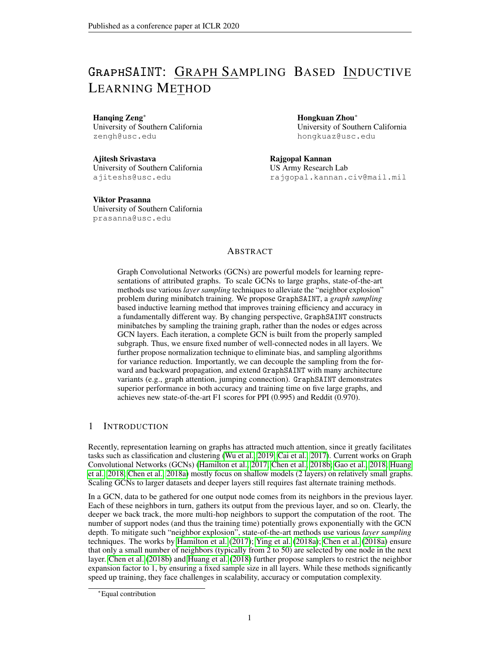# GraphSAINT: GRAPH SAMPLING BASED INDUCTIVE LEARNING METHOD

#### Hanqing Zeng<sup>∗</sup>

University of Southern California zengh@usc.edu

Ajitesh Srivastava University of Southern California ajiteshs@usc.edu

Viktor Prasanna University of Southern California prasanna@usc.edu

Hongkuan Zhou<sup>∗</sup> University of Southern California hongkuaz@usc.edu

Rajgopal Kannan US Army Research Lab rajgopal.kannan.civ@mail.mil

# ABSTRACT

Graph Convolutional Networks (GCNs) are powerful models for learning representations of attributed graphs. To scale GCNs to large graphs, state-of-the-art methods use various *layer sampling* techniques to alleviate the "neighbor explosion" problem during minibatch training. We propose GraphSAINT, a *graph sampling* based inductive learning method that improves training efficiency and accuracy in a fundamentally different way. By changing perspective, GraphSAINT constructs minibatches by sampling the training graph, rather than the nodes or edges across GCN layers. Each iteration, a complete GCN is built from the properly sampled subgraph. Thus, we ensure fixed number of well-connected nodes in all layers. We further propose normalization technique to eliminate bias, and sampling algorithms for variance reduction. Importantly, we can decouple the sampling from the forward and backward propagation, and extend GraphSAINT with many architecture variants (e.g., graph attention, jumping connection). GraphSAINT demonstrates superior performance in both accuracy and training time on five large graphs, and achieves new state-of-the-art F1 scores for PPI (0.995) and Reddit (0.970).

## 1 INTRODUCTION

Recently, representation learning on graphs has attracted much attention, since it greatly facilitates tasks such as classification and clustering (Wu et al., 2019; Cai et al., 2017). Current works on Graph Convolutional Networks (GCNs) (Hamilton et al., 2017; Chen et al., 2018b; Gao et al., 2018; Huang et al., 2018; Chen et al., 2018a) mostly focus on shallow models (2 layers) on relatively small graphs. Scaling GCNs to larger datasets and deeper layers still requires fast alternate training methods.

In a GCN, data to be gathered for one output node comes from its neighbors in the previous layer. Each of these neighbors in turn, gathers its output from the previous layer, and so on. Clearly, the deeper we back track, the more multi-hop neighbors to support the computation of the root. The number of support nodes (and thus the training time) potentially grows exponentially with the GCN depth. To mitigate such "neighbor explosion", state-of-the-art methods use various *layer sampling* techniques. The works by Hamilton et al. (2017); Ying et al. (2018a); Chen et al. (2018a) ensure that only a small number of neighbors (typically from 2 to 50) are selected by one node in the next layer. Chen et al. (2018b) and Huang et al. (2018) further propose samplers to restrict the neighbor expansion factor to 1, by ensuring a fixed sample size in all layers. While these methods significantly speed up training, they face challenges in scalability, accuracy or computation complexity.

<sup>∗</sup>Equal contribution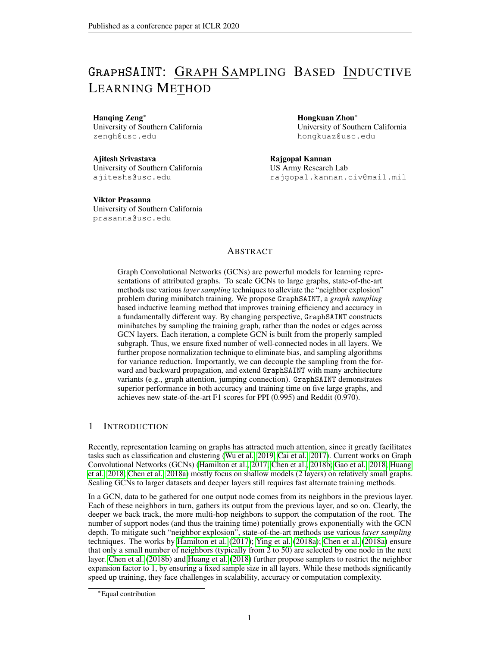Present work We present GraphSAINT (Graph SAmpling based INductive learning meThod) to efficiently train deep GCNs. GraphSAINT is developed from a fundamentally different way of minibatch construction. Instead of building a GCN on the full training graph and then sampling across the layers, we sample the training graph first and then build a full GCN on the subgraph. Our method is thus *graph sampling* based. Naturally, GraphSAINT resolves "neighbor explosion", since every GCN of the minibatches is a small yet *complete* one. On the other hand, graph sampling based method also brings new challenges in training. Intuitively, nodes of higher influence on each other should have higher probability to form a subgraph. This enables the sampled nodes to "support" each other without going outside the minibatch. Unfortunately, such strategy results in non-identical node sampling probability, and introduces bias in the minibatch estimator. To address this issue, we develop normalization techniques so that the feature learning does not give preference to nodes more frequently sampled. To further improve training quality, we perform variance reduction analysis, and design light-weight sampling algorithms by quantifying "influence" of neighbors. Experiments on GraphSAINT using five large datasets show significant performance gain in both training accuracy and time. We also demonstrate the flexibility of GraphSAINT by integrating our minibatch method with popular GCN architectures such as JK-net (Xu et al., 2018) and GAT (Veličković et al., 2017). The resulting deep models achieve new state-of-the-art F1 scores on PPI (0.995) and Reddit (0.970).

## 2 RELATED WORK

A neural network model that extends convolution operation to the graph domain is first proposed by Bruna et al. (2013). Further, Kipf & Welling (2016); Defferrard et al. (2016) speed up graph convolution computation with localized filters based on Chebyshev expansion. They target relatively small datasets and thus the training proceeds in full batch. In order to scale GCNs to large graphs, layer sampling techniques (Hamilton et al., 2017; Chen et al., 2018b; Ying et al., 2018a; Chen et al., 2018a; Gao et al., 2018; Huang et al., 2018) have been proposed for efficient minibatch training. All of them follow the three meta steps: 1. Construct a complete GCN on the full training graph. 2. Sample nodes or edges of each layer to form minibatches. 3. Propagate forward and backward among the sampled GCN. Steps (2) and (3) proceed iteratively to update the weights via stochastic gradient descent. The layer sampling algorithm of GraphSAGE (Hamilton et al., 2017) performs uniform node sampling on the previous layer neighbors. It enforces a pre-defined budget on the sample size, so as to bound the minibatch computation complexity. Ying et al. (2018a) enhances the layer sampler of Hamilton et al. (2017) by introducing an importance score to each neighbor. The algorithm presumably leads to less information loss due to weighted aggregation. S-GCN (Chen et al., 2018a) further restricts neighborhood size by requiring only two support nodes in the previous layer. The idea is to use the historical activations in the previous layer to avoid redundant re-evaluation. FastGCN (Chen et al., 2018b) performs sampling from another perspective. Instead of tracking down the inter-layer connections, node sampling is performed independently for each layer. It applies importance sampling to reduce variance, and results in constant sample size in all layers. However, the minibatches potentially become too sparse to achieve high accuracy. Huang et al. (2018) improves FastGCN by an additional sampling neural network. It ensures high accuracy, since sampling is conditioned on the selected nodes in the next layer. Significant overhead may be incurred due to the expensive sampling algorithm and the extra sampler parameters to be learned.

Instead of sampling layers, the works of Zeng et al. (2018) and Chiang et al. (2019) build minibatches from subgraphs. Zeng et al. (2018) proposes a specific graph sampling algorithm to ensure connectivity among minibatch nodes. They further present techniques to scale such training on shared-memory multi-core platforms. More recently, ClusterGCN (Chiang et al., 2019) proposes graph clustering based minibatch training. During pre-processing, the training graph is partitioned into densely connected clusters. During training, clusters are randomly selected to form minibatches, and intra-cluster edge connections remain unchanged. Similar to GraphSAINT, the works of Zeng et al. (2018) and Chiang et al. (2019) do not sample the layers and thus "neighbor explosion" is avoided. Unlike GraphSAINT, both works are heuristic based, and do not account for bias due to the unequal probability of each node / edge appearing in a minibatch.

Another line of research focuses on improving model capacity. Applying attention on graphs, the architectures of Veličković et al. (2017); Zhang et al. (2018); Lu et al. (2019) better capture neighbor features by dynamically adjusting edge weights. Klicpera et al. (2018) combines PageRank with GCNs to enable efficient information propagation from many hops away. To develop deeper models,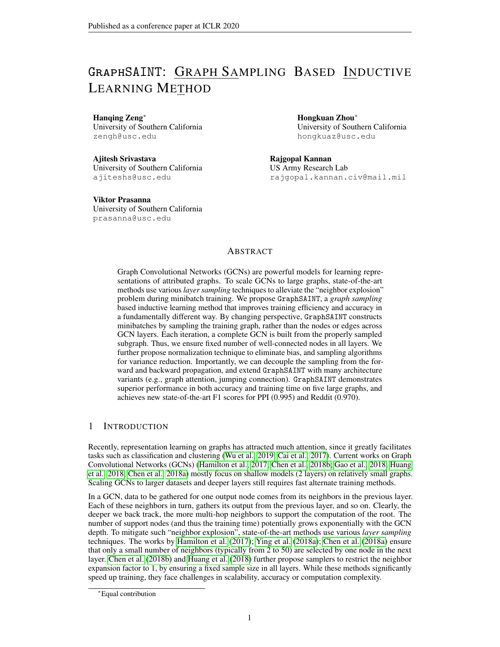"skip-connection" is borrowed from CNNs (He et al., 2015; Huang et al., 2017) into the GCN context. In particular, JK-net Xu et al. (2018) demonstrates significant accuracy improvement on GCNs with more than two layers. Note, however, that JK-net (Xu et al., 2018) follows the same sampling strategy as GraphSAGE (Hamilton et al., 2017). Thus, its training cost is high due to neighbor explosion. In addition, high order graph convolutional layers (Zhou, 2017; Lee et al., 2018; Abu-El-Haija et al., 2019) also help propagate long-distance features. With the numerous architectural variants developed, the question of how to train them efficiently via minibatches still remains to be answered.

# 3 PROPOSED METHOD: GraphSAINT

Graph sampling based method is motivated by the challenges in scalability (in terms of model depth and graph size). We analyze the bias (Section 3.2) and variance (Section 3.3) introduced by graph sampling, and thus, propose feasible sampling algorithms (Section 3.4). We show the applicability of GraphSAINT to other architectures, both conceptually (Section 4) and experimentally (Section 5.2).

In the following, we define the problem of interest and the corresponding notations. A GCN learns representation of an un-directed, attributed graph  $G(V, E)$ , where each node  $v \, 2 \, V$  has a length-f attribute  $x_v$ . Let A be the adjacency matrix and  $\widetilde{A}$  be the normalized one (i.e.,  $\widetilde{A} = D^{-1}A$ , and D is the diagonal degree matrix). Let the dimension of layer- $\ell$  input activation be  $f^{(\ell)}$ . The activation of node v is  $x_v^{(\ell)} \n\supseteq \mathbb{R}^{f^{(\ell)}}$ , and the weight matrix is  $W^{(\ell)} \supseteq \mathbb{R}^{f^{(\ell)} \times f^{(\ell+1)}}$ . Note that  $x_v = x_v^{(1)}$ . Propagation rule of a layer is defined as follows:

$$
\boldsymbol{x}_{v}^{(\ell+1)} = \sigma \left( \sum_{u \in \mathcal{V}} \widetilde{\boldsymbol{A}}_{v,u} \left( \boldsymbol{W}^{(\ell)} \right)^{\mathsf{T}} \boldsymbol{x}_{u}^{(\ell)} \right) \tag{1}
$$

where  $\widetilde{A}_{v,u}$  is a scalar, taking an element of  $\widetilde{A}$ . And  $\sigma$  ( ) is the activation function (e.g., ReLU). We use subscript "s" to denote parameterd of the sampled graph (e.g.,  $G_s$ ,  $V_s$ ,  $E_s$ ).

GCNs can be applied under inductive and transductive settings. While GraphSAINT is applicable to both, in this paper, we focus on inductive learning. It has been shown that inductive learning is especially challenging (Hamilton et al., 2017) — during training, neither attributes nor connections of the test nodes are present. Thus, an inductive model has to generalize to completely unseen graphs.

3.1 MINIBATCH BY GRAPH SAMPLING



Figure 1: GraphSAINT training algorithm

GraphSAINT follows the design philosophy of directly sampling the training graph  $G$ , rather than the corresponding GCN. Our goals are to 1. extract appropriately connected subgraphs so that little information is lost when propagating within the subgraphs, and 2. combine information of many subgraphs together so that the training process overall learns good representation of the full graph.

Figure 1 and Algorithm 1 illustrate the training algorithm. Before training starts, we perform light-weight pre-processing on G with the given sampler SAMPLE. The pre-processing estimates the probability of a node  $v \nightharpoonup \nu \nu$  and an edge  $e \nightharpoonup \nu \nu \nu$  sampled by SAMPLE. Such probability is later used to normalize the subgraph neighbor aggregation and the minibatch loss (Section 3.2). Afterwards,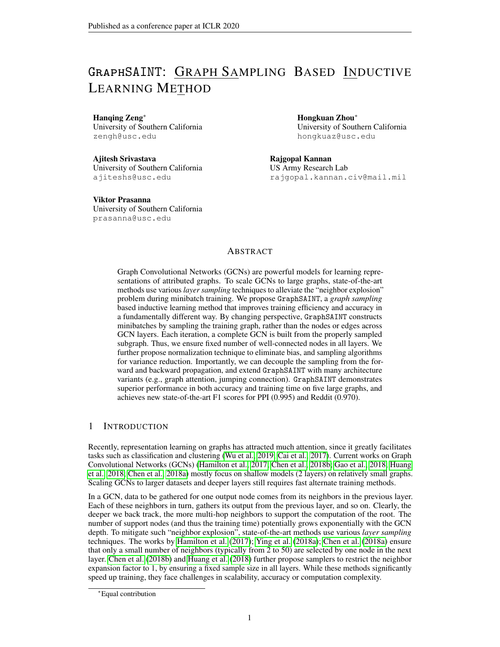|  | Algorithm 1 GraphSAINT training algorithm |  |
|--|-------------------------------------------|--|
|  |                                           |  |

**Input:** Training graph  $G(V, E, \mathbf{X})$ ; Labels  $\overline{Y}$ ; Sampler SAMPLE; Output: GCN model with trained weights 1: Pre-processing: Setup SAMPLE parameters; Compute normalization coefficients  $\alpha$ ,  $\lambda$ . 2: for each minibatch do 3:  $G_s(V_s, E_s)$  Sampled sub-graph of G according to SAMPLE 4: GCN construction on  $G_s$ .<br>5:  $f_{\mathbf{y}_v}/v \, 2 \, V_s q$  Forward  $f\mathbf{y}_v$  j  $v$  2  $V_s g$  Forward propagation of  $f\mathbf{x}_v$  j  $v$  2  $V_s g$ , normalized by  $\alpha$ 6: Backward propagation from  $\lambda$ -normalized loss  $L(\bm{y}_v, \overline{\bm{y}}_v)$ . Update weights. 7: end for

training proceeds by iterative weight updates via SGD. Each iteration starts with an independently sampled  $G_s$  (where  $jV_s j jV_j$ ). We then build a full GCN on  $G_s$  to generate embedding and calculate loss for every  $v \, \supset \, V_s$ . In Algorithm 1, node representation is learned by performing node classification in the supervised setting, and each training node  $v$  comes with a ground truth label  $\overline{y}_v$ .

Intuitively, there are two requirements for SAMPLE: 1. Nodes having high influence on each other should be sampled in the same subgraph. 2. Each edge should have non-negligible probability to be sampled. For requirement (1), an ideal SAMPLE would consider the joint information from node connections as well as attributes. However, the resulting algorithm may have high complexity as it would need to infer the relationships between features. For simplicity, we define "influence" from the graph connectivity perspective and design topology based samplers. Requirement (2) leads to better generalization since it enables the neural net to explore the full feature and label space.

#### 3.2 NORMALIZATION

A sampler that preserves connectivity characteristic of  $G$  will almost inevitably introduce bias into minibatch estimation. In the following, we present normalization techniques to eliminate biases.

Analysis of the complete multi-layer GCN is difficult due to non-linear activations. Thus, we analyze the embedding of each layer independently. This is similar to the treatment of layers independently by prior work (Chen et al., 2018b; Huang et al., 2018). Consider a layer- $(\ell + 1)$  node v and a layer- $\ell$ node u. If v is sampled (i.e.,  $v \nightharpoonup V_s$ ), we can compute the aggregated feature of v as:

$$
\zeta_v^{(\ell+1)} = \sum_{u \in \mathcal{V}} \frac{\tilde{A}_{v,u}}{\alpha_{u,v}} \left(\boldsymbol{W}^{(\ell)}\right)^{\mathsf{T}} \boldsymbol{x}_u^{(\ell)} \mathbb{1}_{u|v} = \sum_{u \in \mathcal{V}} \frac{\tilde{A}_{v,u}}{\alpha_{u,v}} \tilde{\boldsymbol{x}}_u^{(\ell)} \mathbb{1}_{u|v},\tag{2}
$$

where  $\tilde{x}_u^{(\ell)} = (W^{(\ell)})^{\top} x_u^{(\ell)}$ , and  $\mathbb{1}_{u|v} \supseteq \mathcal{D}$ , 1g is the indicator function given v is in the subgraph (i.e.,  $\mathbb{1}_{u|v} = 0$  if  $v \supseteq V_s \wedge (u, v) \otimes \overline{E_s}$ ;  $\mathbb{1}_{u|v} = 1$  if  $(u, v) \supseteq E_s$ ;  $\mathbb{1}_{u|v}$  not defined if  $v \otimes V_s$ ). We refer to the constant  $\alpha_{u,v}$  as *aggregator normalization*. Define  $p_{u,v} = p_{v,u}$  as the probability of an edge  $(u, v)$  2 E being sampled in a subgraph, and  $p_v$  as the probability of a node v 2 V being sampled.

**Proposition 3.1.**  $\zeta_v^{(\ell+1)}$  is an unbiased estimator of the aggregation of  $v$  in the full  $(\ell+1)^{th}$  GCN *layer, if*  $\alpha_{u,v} = \frac{p_{u,v}}{p_v}$  $\frac{\partial u,v}{\partial v}$ , *i.e.*,  $E\left(\zeta_v^{(\ell+1)}\right) = \sum_{i=1}^n$  $\sum\limits_{u \in \mathcal{V}} \widetilde{A}_{v,u} \tilde{x}_u^{(\ell)}.$ 

Assuming that each layer independently learns an embedding, we use Proposition 3.1 to normalize feature propagation of each layer of the GCN built by GraphSAINT. Further, let  $L_v$  be the loss on v in the output layer. The minibatch loss is calculated as  $L_{batch} = \sum_{v \in \mathcal{G}_s} L_v/\lambda_v$ , where  $\lambda_v$  is a constant that we term *loss normalization*. We set  $\lambda_v = jVj$   $p_v$  so that:

$$
E\left(L_{\text{batch}}\right) = \frac{1}{jGj} \sum_{\mathcal{G}_s \in \mathbb{G}} \sum_{v \in \mathcal{V}_s} \frac{L_v}{\lambda_v} = \frac{1}{jVj} \sum_{v \in \mathcal{V}} L_v.
$$
 (3)

Feature propagation within subgraphs thus requires normalization factors  $\alpha$  and  $\lambda$ , which are computed based on the edge and node probability  $p_{u,v}$ ,  $p_v$ . In the case of random node or random edge samplers,  $p_{u,v}$  and  $p_v$  can be derived analytically. For other samplers in general, closed form expression is hard to obtain. Thus, we perform pre-processing for estimation. Before training starts,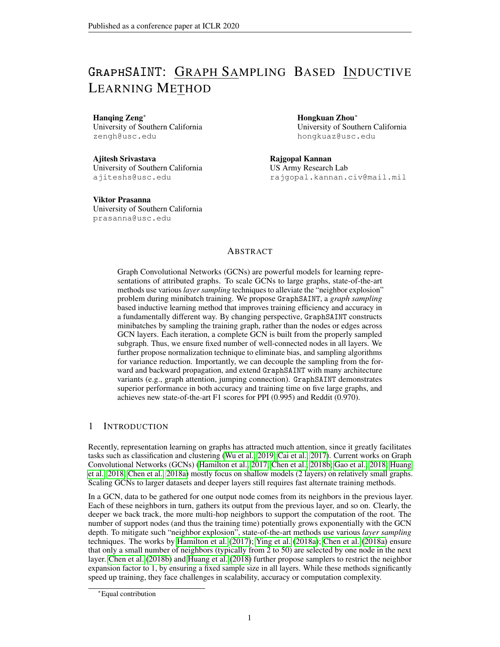we run the sampler repeatedly to obtain a set of N subgraphs G. We setup a counter  $C_v$  and  $C_{u,v}$  for each  $v \nightharpoonup \nu$  and  $(u, v) \nightharpoonup \nu$ . It is count the number of times the node or edge appears in the subgraphs of G. Then we set  $\alpha_{u,v} = \frac{C_{u,v}}{C_u}$  $\frac{C_{u,v}}{C_v} = \frac{C_{v,u}}{C_v}$  $\frac{C_{v,u}}{C_v}$  and  $\lambda_v = \frac{C_v}{N}$ . The subgraphs  $G_s$  2 G can all be reused as minibatches during training. Thus, the overhead of pre-processing is small (see Appendix D.2).

#### 3.3 VARIANCE

We derive samplers for variance reduction. Let e be the edge connecting u, v, and  $b_e^{(\ell)} = \tilde{A}_{v,u} \tilde{x}_u^{(\ell-1)} + \tilde{C}_{v,u}^{(\ell-1)}$  $\widetilde{A}_{u,v}\tilde{x}_v^{(\ell-1)}$ . It is desirable that variance of all estimators  $\zeta_v^{(\ell)}$  is small. With this objective, we define:

$$
\zeta = \sum_{\ell} \sum_{v \in \mathcal{G}_s} \frac{\zeta_v^{(\ell)}}{p_v} = \sum_{\ell} \sum_{v,u} \frac{\widetilde{A}_{v,u}}{p_v \alpha_{u,v}} \widetilde{x}_u^{(\ell)} \mathbb{1}_v \mathbb{1}_{u|v} = \sum_{\ell} \sum_{e} \frac{b_e^{(\ell)}}{p_e} \mathbb{1}_e^{(\ell)}.
$$
 (4)

where  $\mathbb{1}_e = 1$  if  $e \; 2 \; E_s$ ;  $\mathbb{1}_e = 0$  if  $e \; \mathscr{B} \; E_s$ . And  $\mathbb{1}_v = 1$  if  $v \; 2 \; V_s$ ;  $\mathbb{1}_v = 0$  if  $v \; \mathscr{B} \; V_s$ . The factor  $p_u$  in the first equality is present so that  $\zeta$  is an unbiased estimator of the sum of all node aggregations at all layers:  $E(\zeta) = \sum_{\ell} \sum_{v \in \mathcal{V}} E(\zeta_v^{(\ell)})$ . Note that  $\mathbb{1}_e^{(\ell)} = \mathbb{1}_e, \mathcal{B}\ell$ , since once an edge is present in the sampled graph, it is present in all layers of our GCN.

We define the optimal edge sampler to minimize variance for every dimension of  $\zeta$ . We restrict ourselves to independent edge sampling. For each  $e \, 2 \, \mathcal{E}$ , we make independent decision on whether it should be in  $G_s$  or not. The probability of including e is  $p_e$ . We further constrain  $\sum p_e = m$ , so that the expected number of sampled edges equals to  $m$ . The budget  $m$  is a given sampling parameter. Theorem 3.2. *Under independent edge sampling with budget* m*, the optimal edge probabilities to minimize the sum of variance of each*  $\zeta$ 's dimension is given by:  $p_e = \frac{m}{\sqrt{m}}$  $\sum_{e} \theta \Big\| \sum_{\ell} \bm{b}^{(\ell)}_{e} \Big\|$  $\Big\| \sum_{\ell} \bm{b}^{(\ell)}_e \Big\|.$ 

To prove Theorem 3.2, we make use of the independence among graph edges, and the dependence among layer edges to obtain the covariance of  $\mathbb{1}_{e}^{(\ell)}$ . Then using the fact that sum of  $p_e$  is a constant, we use the Cauchy-Schwarz inequality to derive the optimal  $p_e$ . Details are in Appendix A.

Note that calculating  $b_e^{(\ell)}$  requires computing  $\tilde{x}_v^{(\ell-1)}$ , which increases the complexity of sampling. As a reasonable simplification, we ignore  $\tilde{x}_{v}^{(\ell)}$  to make the edge probability dependent on the graph topology only. Therefore, we choose  $p_e \times \widetilde{A}_{v,u} + \widetilde{A}_{u,v} = \frac{1}{\deg(u)} + \frac{1}{\deg(v)}$ .

The derived optimal edge sampler agrees with the intuition in Section 3.1. If two nodes  $u, v$  are connected and they have few neighbors, then  $u$  and  $v$  are likely to be influential to each other. In this case, the edge probability  $p_{u,v} = p_{v,u}$  should be high. The above analysis on edge samplers also inspires us to design other samplers, which are presented in Section 3.4.

Remark We can also apply the above edge sampler to perform layer sampling. Under the independent layer sampling assumption of Chen et al. (2018b), one would sample a connection  $(u^{(\ell)}, v^{(\ell+1)})$ with probability  $p_{u,v}^{(\ell)} \neq \frac{1}{\deg(u)} + \frac{1}{\deg(v)}$ . For simplicity, assume a uniform degree graph (of degree d). Then  $p_e^{(\ell)} = p$ . For an already sampled  $u^{(\ell)}$  to connect to layer  $\ell + 1$ , at least one of its edges has to be selected by the layer  $\ell + 1$  sampler. Clearly, the probability of an input layer node to "survive" the L number of independent sampling process is  $(1 - (1 - p)^d)^{L-1}$ . Such layer sampler potentially returns an overly sparse minibatch for  $L > 1$ . On the other hand, connectivity within a minibatch of GraphSAINT never drops with GCN depth. If an edge is present in layer  $\ell$ , it is present in all layers.

## 3.4 SAMPLERS

Based on the above variance analysis, we present several light-weight and efficient samplers that GraphSAINT has integrated. Detailed sampling algorithms are listed in Appendix B.

**Random node sampler** We sample  $jV<sub>s</sub>j$  nodes from V randomly, according to a node probability distribution  $P\left(u\right)\diagup\left\Vert \widetilde{\boldsymbol{A}}_{:,u}\right\Vert$  $\frac{2}{3}$ . This sampler is inspired by the layer sampler of Chen et al. (2018b).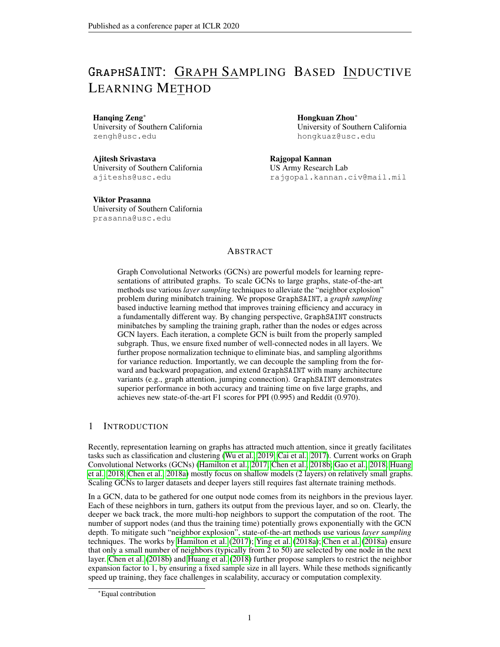**Random edge sampler** We perform edge sampling as described in Section 3.3.

**Random walk based samplers** Another way to analyze graph sampling based multi-layer GCN is to ignore activations. In such case,  $L$  layers can be represented as a single layer with edge weights given by  $B = A^L$ . Following a similar approach as Section 3.3, if it were possible to pick pairs of nodes (whether or not they are directly connected in the original  $\vec{A}$ ) independently, then we would set  $p_{u,v}$  /  $B_{u,v}$  +  $B_{v,u}$ , where  $B_{u,v}$  can be interpreted as the probability of a random walk to start at u and end at v in L hops (and  $B_{v,u}$  vice-versa). Even though it is not possible to sample a subgraph where such pairs of nodes are independently selected, we still consider a random walk sampler with walk length  $L$  as a good candidate for  $L$ -layer GCNs. There are numerous random walk based samplers proposed in the literature (Ribeiro & Towsley, 2010; Leskovec & Faloutsos, 2006; Hu & Lau, 2013; Li et al., 2015). In the experiments, we implement a regular random walk sampler (with  $r$  root nodes selected uniformly at random and each walker goes  $h$  hops), and also a multi-dimensional random walk sampler defined in Ribeiro & Towsley (2010).

For all the above samplers, we return the subgraph induced from the sampled nodes. The induction step adds more connections into the subgraph, and empirically helps improve convergence.

### 4 DISCUSSION

Extensions GraphSAINT admits two orthogonal extensions. First, GraphSAINT can seamlessly integrate other graph samplers. Second, the idea of training by graph sampling is applicable to many GCN architecture variants: 1. Jumping knowledge (Xu et al., 2018): since our GCNs constructed during training are complete, applying skip connections to GraphSAINT is straightforward. On the other hand, for some layer sampling methods (Chen et al., 2018b; Huang et al., 2018), extra modification to their samplers is required, since the jumping knowledge architecture requires layer- $\ell$ samples to be a subset of layer- $(\ell \nvert 1)$  samples<sup>∗</sup>. 2. Attention (Veličković et al., 2017; Fey, 2019; Zhang et al., 2018): while explicit variance reduction is hard due to the dynamically updated attention values, it is reasonable to apply attention within the subgraphs which are considered as representatives of the full graph. Our loss and aggregator normalizations are also applicable<sup>†</sup>. 3. Others: To support high order layers (Zhou, 2017; Lee et al., 2018; Abu-El-Haija et al., 2019) or even more complicated networks for the task of graph classification (Ying et al., 2018b), we replace the full adjacency matrix A with the (normalized) one for the subgraph  $A<sub>s</sub>$  to perform layer propagation.

Comparison GraphSAINT enjoys: 1. high scalability and efficiency, 2. high accuracy, and 3. low training complexity. Point (1) is due to the significantly reduced neighborhood size compared with Hamilton et al. (2017); Ying et al. (2018a); Chen et al. (2018a). Point (2) is due to the better interlayer connectivity compared with Chen et al. (2018b), and unbiased minibatch estimator compared with Chiang et al. (2019). Point (3) is due to the simple and trivially parallelizable pre-processing compared with the sampling of Huang et al. (2018) and clustering of Chiang et al. (2019).

## 5 EXPERIMENTS

Setup Experiments are under the inductive, supervised learning setting. We evaluate GraphSAINT on the following tasks: 1. classifying protein functions based on the interactions of human tissue proteins (PPI), 2. categorizing types of images based on the descriptions and common properties of online images (Flickr), 3. predicting communities of online posts based on user comments (Reddit), 4. categorizing types of businesses based on customer reviewers and friendship (Yelp), and 5. classifying product categories based on buyer reviewers and interactions (Amazon). For PPI, we use the small version for the two layer convergence comparison (Table 2 and Figure 2), since Hamilton et al. (2017) and Chen et al. (2018a) report accuracy for this version in their original papers. We use the large version for additional comparison with Chiang et al. (2019) to be consistent with its reported accuracy. All datasets follow "fixed-partition" splits. Appendix C.2 includes further details.

<sup>∗</sup>The skip-connection design proposed by Huang et al. (2018) does not have such "subset" requirement, and thus is compatible with both graph sampling and layer sampling based methods.

<sup>&</sup>lt;sup>†</sup>When applying GraphSAI NT to GAT (Veličković et al., 2017), we remove the softmax step which normalizes attention values within the same neighborhood, as suggested by Huang et al. (2018). See Appendix C.3.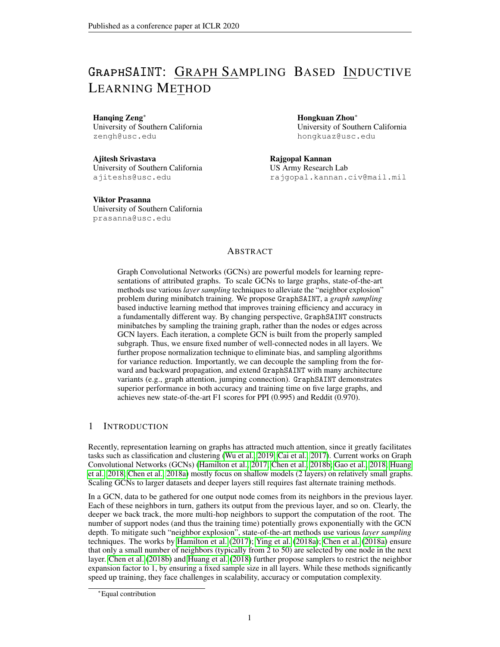| Dataset              | <b>Nodes</b>         | Edges                    | Degree   | Feature    | Classes              | Train / Val / Test                   |
|----------------------|----------------------|--------------------------|----------|------------|----------------------|--------------------------------------|
| <b>PPI</b><br>Flickr | 14.755<br>89,250     | 225,270<br>899.756       | 15<br>10 | 50<br>500  | 121(m)<br>7(s)       | 0.66/0.12/0.22<br>0.50 / 0.25 / 0.25 |
| Reddit               | 232,965              | 11,606,919               | 50       | 602        | 41 $(s)$             | 0.66/0.10/0.24                       |
| Yelp<br>Amazon       | 716,847<br>1,598,960 | 6,977,410<br>132,169,734 | 10<br>83 | 300<br>200 | 100 (m)<br>$107$ (m) | 0.75/0.10/0.15<br>0.85 / 0.05 / 0.10 |
| PPI (large version)  | 56,944               | 818,716                  | 14       | 50         | 121(m)               | 0.79/0.11/0.10                       |

|  | Table 1: Dataset statistics ("m" stands for multi-class classification, and "s" for single-class.) |  |  |  |  |  |  |  |  |
|--|----------------------------------------------------------------------------------------------------|--|--|--|--|--|--|--|--|
|--|----------------------------------------------------------------------------------------------------|--|--|--|--|--|--|--|--|

We open source GraphSAINT<sup>‡</sup>. We compare with six baselines: 1. vanilla GCN (Kipf & Welling, 2016), 2. GraphSAGE (Hamilton et al., 2017), 3. FastGCN (Chen et al., 2018b), 4. S-GCN (Chen et al., 2018a), 5. AS-GCN (Huang et al., 2018), and 6. ClusterGCN (Chiang et al., 2019). All baselines are executed with their officially released code (see Appendix C.3 for downloadable URLs and commit numbers). Baselines and GraphSAINT are all implemented in Tensorflow with Python3. We run experiments on a NVIDIA Tesla P100 GPU (see Appendix C.1 for hardware specification).

#### 5.1 COMPARISON WITH STATE-OF-THE-ART

Table 2 and Figure 2 show the accuracy and convergence comparison of various methods. All results correspond to two-layer GCN models (for GraphSAGE, we use its mean aggregator). For a given dataset, we keep hidden dimension the same across all methods. We describe the detailed architecture and hyperparameter search procedure in Appendix C.3. The mean and confidence interval of the accuracy values in Table 2 are measured by three runs under the same hyperparameters. The training time of Figure 2 excludes the time for data loading, pre-processing, validation set evaluation and model saving. Our pre-processing incurs little overhead in training time. See Appendix D.2 for cost of graph sampling. For GraphSAINT, we implement the graph samplers described in Section 3.4. In Table 2, "Node" stands for random node sampler; "Edge" stands for random edge sampler; "RW" stands for random walk sampler; "MRW" stands for multi-dimensional random walk sampler.

Table 2: Comparison of test set F1-micro score with state-of-the-art methods

| Method                                                                | <b>PPI</b>                                                                             | Flickr                                                                                 | Reddit                                                                                 | Yelp                                                                 | Amazon                                                               |
|-----------------------------------------------------------------------|----------------------------------------------------------------------------------------|----------------------------------------------------------------------------------------|----------------------------------------------------------------------------------------|----------------------------------------------------------------------|----------------------------------------------------------------------|
| <b>GCN</b><br>GraphSAGE<br>FastGCN<br>S-GCN<br>AS-GCN                 | 0.006<br>0.515<br>0.637<br>0.006<br>0.032<br>0.513<br>0.963<br>0.010<br>0.687<br>0.012 | 0.492<br>0.003<br>0.501<br>0.013<br>0.504<br>0.001<br>0.482<br>0.003<br>0.504<br>0.002 | 0.000<br>0.933<br>0.953<br>0.001<br>0.001<br>0.924<br>0.001<br>0.964<br>0.958<br>0.001 | 0.378<br>0.001<br>0.006<br>0.634<br>0.265<br>0.053<br>0.640<br>0.002 | 0.281<br>0.005<br>0.758<br>0.002<br>0.174<br>0.021<br>—∓<br>一キ       |
| <b>ClusterGCN</b>                                                     | 0.875<br>0.004                                                                         | 0.481<br>0.005                                                                         | 0.954<br>0.001                                                                         | 0.005<br>0.609                                                       | 0.759<br>0.008                                                       |
| GraphSAINT-Node<br>GraphSAINT-Edge<br>GraphSAINT-RW<br>GraphSAINT-MRW | 0.001<br>0.960<br>0.981<br>0.007<br>0.981<br>0.004<br>0.980<br>0.006                   | 0.507<br>0.001<br>0.510<br>0.002<br>0.511<br>0.001<br>0.510<br>0.001                   | 0.962<br>0.001<br>0.966<br>0.001<br>0.966<br>0.001<br>0.964<br>0.000                   | 0.000<br>0.641<br>0.653<br>0.003<br>0.653<br>0.003<br>0.652<br>0.001 | 0.782<br>0.004<br>0.807<br>0.001<br>0.815<br>0.001<br>0.809<br>0.001 |

Table 3: Additional comparison with ClusterGCN (test set F1-micro score)

|                   |       | PPI (large version)                                                                                           | Reddit |       |  |
|-------------------|-------|---------------------------------------------------------------------------------------------------------------|--------|-------|--|
|                   | 2 512 | 5 2048                                                                                                        | 2 128  | 4 128 |  |
| <b>ClusterGCN</b> |       | 0.903 0.002 0.994 0.000 0.954 0.001 0.966 0.001<br>GraphSAINT 0.941 0.003 0.995 0.000 0.966 0.001 0.970 0.001 |        |       |  |

‡Open sourced code: <https://github.com/GraphSAINT/GraphSAINT>

<sup>‡</sup>The codes throw runtime error on the large datasets (Yelp or Amazon).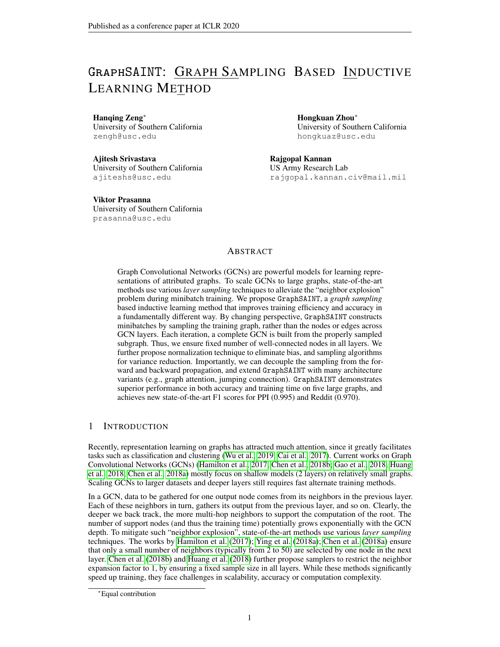

Figure 2: Convergence curves of 2-layer models on GraphSAINT and baselines

Clearly, with appropriate graph samplers, GraphSAINT achieves significantly higher accuracy on all datasets. For GraphSAINT-Node, we use the same node probability as FastGCN. Thus, the accuracy improvement is mainly due to the switching from layer sampling to graph sampling (see "Remark" in Section 3.3). Compared with AS-GCN, GraphSAINT is significantly faster. The sampler of AS-GCN is expensive to execute, making its overall training time even longer than vanilla GCN. We provide detailed computation complexity analysis on the sampler in Appendix D.2. For S-GCN on Reddit, it achieves similar accuracy as GraphSAINT, at the cost of over 9 longer training time. The released code of FastGCN only supports CPU execution, so its convergence curve is dashed.

Table 3 presents additional comparison with ClusterGCN. We use  $L$  f to specify the architecture, where  $L$  and  $f$  denote GCN depth and hidden dimension, respectively. The four architectures are the ones used in the original paper (Chiang et al., 2019). Again, GraphSAINT achieves significant accuracy improvement. To train models with  $L > 2$  often requires additional architectural tweaks. ClusterGCN uses its diagonal enhancement technique for the 5-layer PPI and 4-layer Reddit models. GraphSAINT uses jumping knowledge connection (Xu et al., 2018) for 4-layer Reddit.

Evaluation on graph samplers From Table 2, random edge and random walk based samplers achieve higher accuracy than the random node sampler. Figure 3 presents sensitivity analysis on parameters of "RW". We use the same hyperparameters (except the sampling parameters) and network architecture as those of the "RW" entries in Table 2. We fix the length of each walker to 2 (i.e., GCN depth), and vary the number of roots r from 250 to 2250. For PPI, increasing r from 250 to 750 significantly improves accuracy. Overall, for all datasets, accuracy stabilizes beyond  $r = 750$ .

## 5.2 GraphSAINT ON ARCHITECTURE VARIANTS AND DEEP MODELS

In Figure 4, we train a 2-layer and a 4-layer model of GAT (Veličković et al., 2017) and JK-net (Xu et al., 2018), by using minibatches of GraphSAGE and GraphSAINT respectively. On the two 4-layer architectures, GraphSAINT achieves two orders of magnitude speedup than GraphSAGE, indicating much better scalability on deep models. From accuracy perspective, 4-layer GAT-SAGE and JK-SAGE do not outperform the corresponding 2-layer versions, potentially due to the smoothening effect caused by the massive neighborhood size. On the other hand, with minibatches returned by our edge sampler, increasing model depth of JK-SAINT leads to noticeable accuracy improvement (from 0.966 of 2-layer to 0.970 of 4-layer). Appendix D.1 contains additional scalability results.

# 6 CONCLUSION

We have presented GraphSAINT, a graph sampling based training method for deep GCNs on large graphs. We have analyzed bias and variance of the minibatches defined on subgraphs, and proposed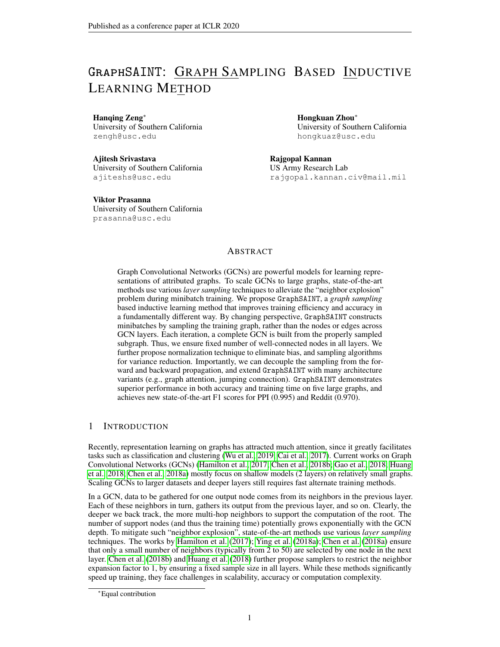

Figure 3: Sensitivity analysis

Figure 4: GraphSAINT with JK-net and GAT (Reddit)

normalization techniques and sampling algorithms to improve training quality. We have conducted extensive experiments to demonstrate the advantage of GraphSAINT in accuracy and training time.

An interesting future direction is to develop distributed training algorithms using graph sampling based minibatches. After partitioning the training graph in distributed memory, sampling can be performed independently on each processor. Afterwards, training on the self-supportive subgraphs can significantly reduce the system-level communication cost. To ensure the overall convergence quality, data shuffling strategy for the graph nodes and edges can be developed together with each specific graph sampler. Another direction is to perform algorithm-system co-optimization to accelerate the training of GraphSAINT on heterogeneous computing platforms (Zeng et al., 2018; Zeng & Prasanna, 2019). The resolution of "neighbor explosion" by GraphSAINT not only reduces the training computation complexity, but also improves hardware utilization by significantly less data traffic to the slow memory. In addition, task-level parallelization is easy since the light-weight graph sampling is completely decoupled from the GCN layer propagation.

#### ACKNOWLEDGEMENT

This material is based on work supported by the Defense Advanced Research Projects Agency (DARPA) under Contract Number FA8750-17-C-0086 and National Science Foundation (NSF) under Contract Numbers CCF-1919289 and OAC-1911229. Any opinions, findings and conclusions or recommendations expressed in this material are those of the authors and do not necessarily reflect the views of DARPA or NSF.

#### **REFERENCES**

- Sami Abu-El-Haija, Bryan Perozzi, Amol Kapoor, Hrayr Harutyunyan, Nazanin Alipourfard, Kristina Lerman, Greg Ver Steeg, and Aram Galstyan. Mixhop: Higher-order graph convolution architectures via sparsified neighborhood mixing. *arXiv preprint arXiv:1905.00067*, 2019.
- Joan Bruna, Wojciech Zaremba, Arthur Szlam, and Yann LeCun. Spectral networks and locally connected networks on graphs. *CoRR*, abs/1312.6203, 2013. URL [http://arxiv.org/abs/](http://arxiv.org/abs/1312.6203) [1312.6203](http://arxiv.org/abs/1312.6203).
- HongYun Cai, Vincent W. Zheng, and Kevin Chen-Chuan Chang. A comprehensive survey of graph embedding: Problems, techniques and applications. *CoRR*, abs/1709.07604, 2017. URL <http://arxiv.org/abs/1709.07604>.
- Jianfei Chen, Jun Zhu, and Le Song. Stochastic training of graph convolutional networks with variance reduction. In *ICML*, pp. 941–949, 2018a.
- Jie Chen, Tengfei Ma, and Cao Xiao. Fastgcn: Fast learning with graph convolutional networks via importance sampling. In *International Conference on Learning Representations (ICLR)*, 2018b.
- Wei-Lin Chiang, Xuanqing Liu, Si Si, Yang Li, Samy Bengio, and Cho-Jui Hsieh. Cluster-gcn: An efficient algorithm for training deep and large graph convolutional networks. *CoRR*, abs/1905.07953, 2019. URL <http://arxiv.org/abs/1905.07953>.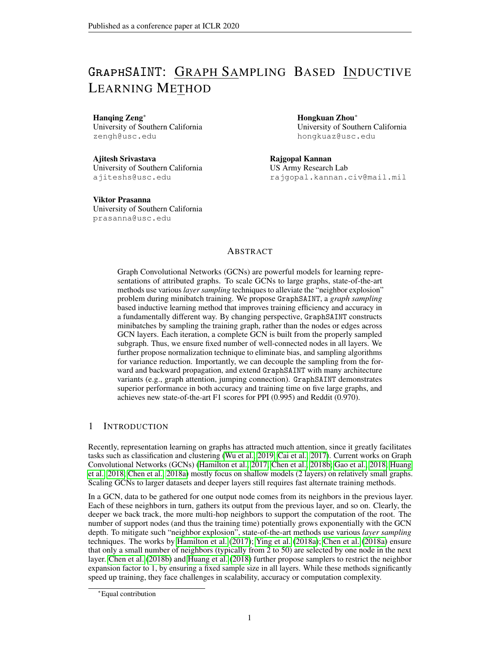- Michaël Defferrard, Xavier Bresson, and Pierre Vandergheynst. Convolutional neural networks on graphs with fast localized spectral filtering. In *Advances in Neural Information Processing Systems*, pp. 3844–3852, 2016.
- Matthias Fey. Just jump: Dynamic neighborhood aggregation in graph neural networks. *CoRR*, abs/1904.04849, 2019. URL <http://arxiv.org/abs/1904.04849>.
- Hongyang Gao, Zhengyang Wang, and Shuiwang Ji. Large-scale learnable graph convolutional networks. In *Proceedings of the 24th ACM SIGKDD International Conference on Knowledge Discovery & Data Mining*, KDD '18, pp. 1416–1424, New York, NY, USA, 2018. ACM. ISBN 978-1-4503-5552-0.
- Will Hamilton, Zhitao Ying, and Jure Leskovec. Inductive representation learning on large graphs. In *Advances in Neural Information Processing Systems 30*, pp. 1024–1034. 2017.
- Kaiming He, Xiangyu Zhang, Shaoqing Ren, and Jian Sun. Deep residual learning for image recognition. *CoRR*, abs/1512.03385, 2015. URL <http://arxiv.org/abs/1512.03385>.
- Sepp Hochreiter and Jürgen Schmidhuber. Long short-term memory. *Neural computation*, 9(8): 1735–1780, 1997.
- Pili Hu and Wing Cheong Lau. A survey and taxonomy of graph sampling. *arXiv preprint arXiv:1308.5865*, 2013.
- Gao Huang, Zhuang Liu, Laurens Van Der Maaten, and Kilian Q Weinberger. Densely connected convolutional networks. In *Proceedings of the IEEE conference on computer vision and pattern recognition*, pp. 4700–4708, 2017.
- Wenbing Huang, Tong Zhang, Yu Rong, and Junzhou Huang. Adaptive sampling towards fast graph representation learning. In *Advances in Neural Information Processing Systems*, pp. 4558–4567, 2018.
- Diederik P Kingma and Jimmy Ba. Adam: A method for stochastic optimization. *arXiv preprint arXiv:1412.6980*, 2014.
- Thomas N. Kipf and Max Welling. Semi-supervised classification with graph convolutional networks. *CoRR*, abs/1609.02907, 2016. URL <http://arxiv.org/abs/1609.02907>.
- Johannes Klicpera, Aleksandar Bojchevski, and Stephan Günnemann. Personalized embedding propagation: Combining neural networks on graphs with personalized pagerank. *CoRR*, abs/1810.05997, 2018. URL <http://arxiv.org/abs/1810.05997>.
- John Boaz Lee, Ryan A. Rossi, Xiangnan Kong, Sungchul Kim, Eunyee Koh, and Anup Rao. Higherorder graph convolutional networks. *CoRR*, abs/1809.07697, 2018. URL [http://arxiv.org/](http://arxiv.org/abs/1809.07697) [abs/1809.07697](http://arxiv.org/abs/1809.07697).
- Jure Leskovec and Christos Faloutsos. Sampling from large graphs. In *Proceedings of the 12th ACM SIGKDD international conference on Knowledge discovery and data mining*, pp. 631–636. ACM, 2006.
- R. Li, J. X. Yu, L. Qin, R. Mao, and T. Jin. On random walk based graph sampling. In *2015 IEEE 31st International Conference on Data Engineering*, pp. 927–938, April 2015. doi: 10.1109/ICDE. 2015.7113345.
- Haonan Lu, Seth H. Huang, Tian Ye, and Xiuyan Guo. Graph star net for generalized multi-task learning. *CoRR*, abs/1906.12330, 2019. URL <http://arxiv.org/abs/1906.12330>.
- Bruno Ribeiro and Don Towsley. Estimating and sampling graphs with multidimensional random walks. In *Proceedings of the 10th ACM SIGCOMM conference on Internet measurement*, pp. 390–403. ACM, 2010.
- Petar Veličković, Guillem Cucurull, Arantxa Casanova, Adriana Romero, Pietro Lio, and Yoshua Bengio. Graph attention networks. *arXiv preprint arXiv:1710.10903*, 2017.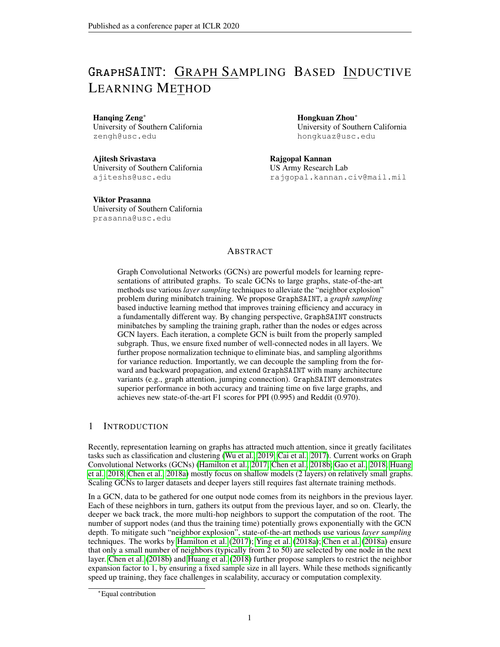- Zonghan Wu, Shirui Pan, Fengwen Chen, Guodong Long, Chengqi Zhang, and Philip S. Yu. A comprehensive survey on graph neural networks. *CoRR*, abs/1901.00596, 2019. URL [http:](http://arxiv.org/abs/1901.00596) [//arxiv.org/abs/1901.00596](http://arxiv.org/abs/1901.00596).
- Keyulu Xu, Chengtao Li, Yonglong Tian, Tomohiro Sonobe, Ken-ichi Kawarabayashi, and Stefanie Jegelka. Representation learning on graphs with jumping knowledge networks. *arXiv preprint arXiv:1806.03536*, 2018.
- Rex Ying, Ruining He, Kaifeng Chen, Pong Eksombatchai, William L. Hamilton, and Jure Leskovec. Graph convolutional neural networks for web-scale recommender systems. In *Proceedings of the 24th ACM SIGKDD International Conference on Knowledge Discovery & Data Mining*, KDD '18, 2018a. ISBN 978-1-4503-5552-0.
- Rex Ying, Jiaxuan You, Christopher Morris, Xiang Ren, William L. Hamilton, and Jure Leskovec. Hierarchical graph representation learning with differentiable pooling. In *Proceedings of the 32Nd International Conference on Neural Information Processing Systems*, NIPS'18, pp. 4805–4815, USA, 2018b. Curran Associates Inc. URL [http://dl.acm.org/citation.cfm?id=](http://dl.acm.org/citation.cfm?id=3327345.3327389) [3327345.3327389](http://dl.acm.org/citation.cfm?id=3327345.3327389).
- Hanqing Zeng and Viktor Prasanna. GraphACT: Accelerating GCN training on CPU-FPGA heterogeneous platforms. *arXiv preprint arXiv:2001.02498*, 2019.
- Hanqing Zeng, Hongkuan Zhou, Ajitesh Srivastava, Rajgopal Kannan, and Viktor K. Prasanna. Accurate, efficient and scalable graph embedding. *CoRR*, abs/1810.11899, 2018. URL [http:](http://arxiv.org/abs/1810.11899) [//arxiv.org/abs/1810.11899](http://arxiv.org/abs/1810.11899).
- Jiani Zhang, Xingjian Shi, Junyuan Xie, Hao Ma, Irwin King, and Dit-Yan Yeung. Gaan: Gated attention networks for learning on large and spatiotemporal graphs. *arXiv preprint arXiv:1803.07294*, 2018.
- Zhenpeng Zhou. Graph convolutional networks for molecules. *CoRR*, abs/1706.09916, 2017. URL <http://arxiv.org/abs/1706.09916>.

# A PROOFS

*Proof of Proposition 3.1.* Under the condition that v is sampled in a subgraph:

$$
E\left(\zeta_v^{(\ell+1)}\right) = E\left(\sum_{u \in \mathcal{V}} \frac{\widetilde{A}_{v,u}}{\alpha_{u,v}} \widetilde{x}_u^{(\ell)} \mathbb{1}_{u|v}\right)
$$
  
\n
$$
= \sum_{u \in \mathcal{V}} \frac{\widetilde{A}_{v,u}}{\alpha_{u,v}} \widetilde{x}_u^{(\ell)} E\left(\mathbb{1}_{u|v}\right)
$$
  
\n
$$
= \sum_{u \in \mathcal{V}} \frac{\widetilde{A}_{v,u}}{\alpha_{u,v}} \widetilde{x}_u^{(\ell)} P\left((u,v) \text{ sampled}/v \text{ sampled}\right)
$$
  
\n
$$
= \sum_{u \in \mathcal{V}} \frac{\widetilde{A}_{v,u}}{\alpha_{u,v}} \widetilde{x}_u^{(\ell)} \frac{P\left((u,v) \text{ sampled}\right)}{P\left(v \text{ sampled}\right)}
$$
  
\n
$$
= \sum_{u \in \mathcal{V}} \frac{\widetilde{A}_{v,u}}{\alpha_{u,v}} \widetilde{x}_u^{(\ell)} \frac{p_{u,v}}{p_v}
$$
 (5)

where the second equality is due to linearity of expectation, and the third equality (conditional edge probability) is due to the initial condition that  $v$  is sampled in a subgraph.

It directly follows that, when  $\alpha_{u,v} = \frac{p_{u,v}}{p_v}$  $\frac{y_{u,v}}{p_v},$ 

$$
\displaystyle \mathsf{E}\left(\zeta_v^{(\ell+1)}\right) = \sum_{u \in \mathcal{V}} \widetilde{A}_{v,u} \tilde{x}_u^{(\ell)}
$$

 $\Box$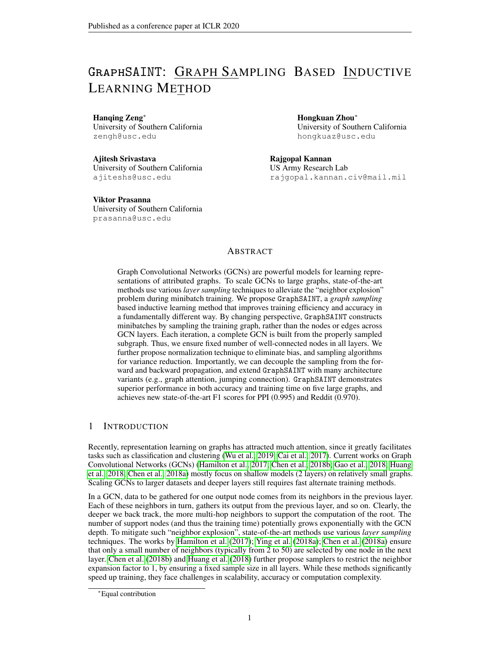*Proof of Theorem* 3.2. Below, we use Cov () to denote covariance and Var () to denote variance. For independent edge sampling as defined in Section 3.3, Cov  $(\mathbb{1}_{e_1}^{(\ell_1)}, \mathbb{1}_{e_2}^{(\ell_2)}) = 0, \mathcal{B}_{e_1} \notin e_2$ . And for a full GCN on the subgraph,  $\text{Cov}\left(\mathbb{1}_e^{(\ell_1)},\mathbb{1}_e^{(\ell_2)}\right)=p_e-p_e^2.$  To start the proof, we first assume that the  $b_e^{(\ell)}$  is one dimensional (i.e., a scalar) and denote it by  $b_e^{(\ell)}$ . Now,

$$
\text{Var}(\zeta) = \sum_{e,\ell} \left( \frac{b_e^{(\ell)}}{p_e} \right)^2 \text{Var} \left( \mathbb{1}_e^{(\ell)} \right) + 2 \sum_{e,\ell_1 < \ell_2} \frac{b_e^{(\ell_1)} b_e^{(\ell_2)}}{p_e^2} \text{Cov} \left( \mathbb{1}_e^{(\ell_1)}, \mathbb{1}_e^{(\ell_2)} \right)
$$
\n
$$
= \sum_{e,\ell} \frac{\left( b_e^{(\ell)} \right)^2}{p_e} \sum_{e,\ell} \left( b_e^{(\ell)} \right)^2 + 2 \sum_{e,\ell_1 < \ell_2} \frac{b_e^{(\ell_1)} b_e^{(\ell_2)}}{p_e^2} \left( p_e \quad p_e^2 \right)
$$
\n
$$
= \sum_{e} \frac{\left( \sum_{\ell} b_e^{(\ell)} \right)^2}{p_e} \sum_{e} \left( \sum_{\ell} b_e^{(\ell)} \right)^2 \tag{6}
$$

Let a given constant  $m = \sum_{e} p_e$  be the expected number of sampled edges. By Cauchy-Schwarz inequality:  $\sum_{e} \frac{\left(\sum_{\ell} b_e^{(\ell)}\right)^2}{p_e}$  $\frac{b_e^{(e)})^2}{p_e}m = \sum_e \left(\frac{\sum_e b_e^{(e)}}{\sqrt{p_e}}\right)^2 \sum_e \left(\frac{\sum_{e} \rho_e^{(e)}}{p_e}\right)^2$   $\left(\sum_{e} \rho_e^{(e)}\right)^2$ . The equality is achieved when  $\vert$  $\frac{\sum_{e} b_e^{(\ell)}}{\sqrt{p_e}}$   $\Big/ \sqrt{\frac{D_{\overline{p}_e}}{p_e}}$ , i.e., variance is minimized when  $p_e \Big/ \Big| \sum_{\ell} b_e^{(\ell)} \Big|$ .

It directly follows that:

$$
p_e = \frac{m}{\sum_{e^o} \left|\sum_{\ell} b_{e^o}^{(\ell)}\right|} \left|\sum_{\ell} b_{e}^{(\ell)}\right|
$$

For the multi-dimensional case of  $b_e^{(\ell)}$ , following similar steps as above, it is easy to show that the optimal edge probability to minimize  $\sum_i \text{Var}(\zeta_i)$  (where i is the index for  $\zeta$ 's dimensions) is:

$$
p_e = \frac{m}{\sum_{e^{\theta}} \left\| \sum_{\ell} \boldsymbol{b}_{e^{\theta}}^{(\ell)} \right\|} \left\| \sum_{\ell} \boldsymbol{b}_{e}^{(\ell)} \right\|
$$

## B SAMPLING ALGORITHM

Algorithm 2 lists the four graph samplers we have integrated into GraphSAINT. The naming of the samplers follows that of Table 2. Note that the sampling parameters n and  $m$  specify a budget rather than the actual number of nodes and edges in the subgraph  $G_s$ . Since certain nodes or edges in the training graph G may be repeatedly sampled under a single invocation of the sampler, we often have  $jV_s$   $\leq$  n for node and MRW samplers,  $jV_s$   $\leq$  2m for edge sampler, and  $jV_s$   $\leq$  n h for RW sampler. Also note that the edge sampler presented in Algorithm 2 is an approximate version of the independent edge sampler defined in Section 3.4. Complexity (excluding the subgraph induction step) of the original version in Section 3.4 is  $O(jE)$ , while complexity of the approximate one is  $O(m)$ . When  $m$  *jEj*, the approximate version leads to identical accuracy as the original one, for a given m.

# C DETAILED EXPERIMENTAL SETUP

#### C.1 HARDWARE SPECIFICATION AND ENVIRONMENT

We run our experiments on a single machine with Dual Intel Xeon CPUs (E5-2698 v4 @ 2.2Ghz), one NVIDIA Tesla P100 GPU (16GB of HBM2 memory) and 512GB DDR4 memory. The code is written in Python 3.6.8 (where the sampling part is written with Cython 0.29.2). We use Tensorflow 1.12.0 on CUDA 9.2 with CUDNN 7.2.1 to train the model on GPU. Since the subgraphs are sampled independently, we run the sampler in parallel on 40 CPU cores.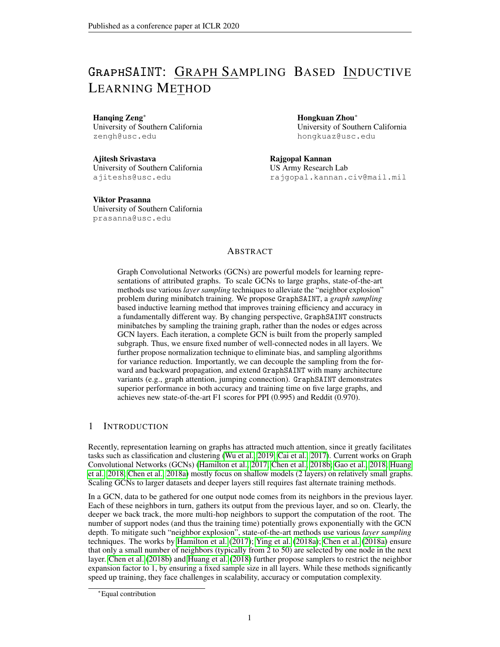## Algorithm 2 Graph sampling algorithms by GraphSAINT

**Input:** Training graph  $G(V, E)$ ; Sampling parameters: node budget *n*; edge budget *m*; number of roots  $r$ ; random walk length  $h$ **Output:** Sampled graph  $G_s$  ( $V_s$ ,  $E_s$ ) 1: **function**  $\text{NODE}(\mathcal{G}, n)$   $\triangleright$  Node sampler 2:  $P(v) \coloneqq \left\| \widetilde{\mathbf{A}}_{:,v} \right\|$  $\left\Vert \widetilde{A}_{:,v^{\scriptscriptstyle 0}}\right\Vert _{1}$ 2 3:  $V_s$  n nodes randomly sampled (with replacement) from V according to P<br>4:  $G_s$  Node induced subgraph of G from  $V_s$ Node induced subgraph of G from  $V_s$ 5: end function 6: **function**  $\text{EDGE}(G,m)$  . Edge sampler (approximate version)  $P\left((u,v)\right) \coloneqq \left(\frac{1}{\deg(u)} + \frac{1}{\deg(v)}\right) / \sum_{(u^{\scriptscriptstyle O},v^{\scriptscriptstyle O}) \in \mathcal{E}} \left(\frac{1}{\deg(u^{\scriptscriptstyle O})} + \frac{1}{\deg(v^{\scriptscriptstyle O})}\right)$ 8:  $E_s$  m edges randomly sampled (with replacement) from E according to F 9:  $V_s$  Set of nodes that are end-points of edges in  $E_s$ <br>10:  $G_s$  Node induced subgraph of G from  $V_s$ Node induced subgraph of G from  $V_s$ 11: end function 12: **function** RW( $G, r, h$ )  $\triangleright$  Random walk sampler 13:  $V_{\text{root}}$  *r* root nodes sampled uniformly at random (with replacement) from V 14:  $V_s$   $V_{\text{root}}$ 15: **for**  $v \nightharpoonup V_{\text{root}}$  do 16: u v 17: **for**  $d = 1$  to h **do** 18:  $u$  Node sampled uniformly at random from  $u$ 's neighbor 19:  $V_s$   $V_s$  [  $fug$ 20: end for 21: end for 22:  $G_s$  Node induced subgraph of G from  $V_s$ 23: end function 24: **function**  $MRW(\mathcal{G},n,r)$   $\rightarrow$  Multi-dimensional random walk sampler 25:  $V_{FS}$  *r* root nodes sampled uniformly at random (with replacement) from *V*<br>26:  $V_s$   $V_{FS}$ 26:  $V_s$ 27: **for**  $i = r + 1$  to *n* **do** 28: Select  $u \, 2 \, V_{FS}$  with probability deg $(u) / \sum_{v \in V_{FS}} deg(v)$ 29:  $u'$ Node randomly sampled from  $u$ 's neighbor 30:  $V_{FS}$   $(V_{FS} \cap \overline{f}ug)$  [  $\overline{f}u'\overline{g}$ 31:  $V_s$   $V_s$  [ fug<br>32: **end for** end for 33:  $G_s$  Node induced subgraph of G from  $V_s$ 34: end function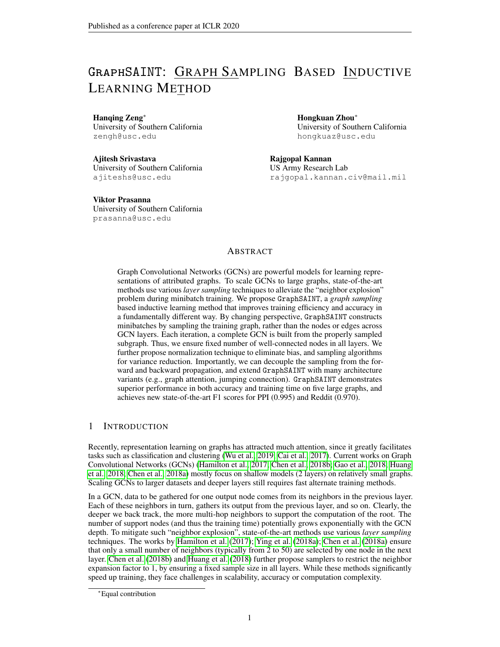

Figure 5: Degree Distribution

#### C.2 ADDITIONAL DATASET DETAILS

Here we present the detailed procedures to prepare the Flickr, Yelp and Amazon datasets.

The Flickr dataset originates from NUS-wide<sup>§</sup>. The SNAP website¶ collected Flickr data from four different sources including NUS-wide, and generated an un-directed graph. One node in the graph represents one image uploaded to Flickr. If two images share some common properties (e.g., same geographic location, same gallery, comments by the same user, etc.), there is an edge between the nodes of these two images. We use as the node features the 500-dimensional bag-of-word representation of the images provided by NUS-wide. For labels, we scan over the 81 tags of each image and manually merged them to 7 classes. Each image belongs to one of the 7 classes.

The Yelp dataset is prepared from the raw json data of businesses, users and reviews provided in the open challenge website<sup>||</sup>. For nodes and edges, we scan the friend list of each user in the raw json file of users. If two users are friends, we create an edge between them. We then filter out all the reviews by each user and separate the reviews into words. Each review word is converted to a 300-dimensional vector using the Word2Vec model pre-trained on GoogleNews∗∗. The word vectors of each node are added and normalized to serve as the node feature (i.e.,  $x<sub>v</sub>$ ). As for the node labels, we scan the raw json file of businesses, and use the categories of the businesses reviewed by a user  $v$  as the multi-class label of  $v$ .

For the Amazon dataset, a node is a product on the Amazon website and an edge  $(u, v)$  is created if products  $u$  and  $v$  are bought by the same customer. Each product contains text reviews (converted to 4-gram) from the buyer. We use SVD to reduce the dimensionality of the 4-gram representation to 200, and use the obtained vectors as the node feature. The labels represent the product categories (e.g., books, movies, shoes).

Figure 5 shows the degree distribution of the five graphs. A point  $(k, p)$  in the plot means the probability of a node having degree at least  $k$  is  $p$ .

#### C.3 ADDITIONAL DETAILS IN EXPERIMENTAL CONFIGURATION

Table 4 summarizes the URLs to download the baseline codes.

The optimizer for GraphSAINT and all baselines is Adam (Kingma  $\&$  Ba, 2014). For all baselines and datasets, we perform grid search on the hyperparameter space defined by:

Hidden dimension: f128, 256, 512g

<sup>§</sup><http://lms.comp.nus.edu.sg/research/NUS-WIDE.htm>

<sup>¶</sup><https://snap.stanford.edu/data/web-flickr.html>

<sup>k</sup><https://www.yelp.com/dataset>

<sup>∗∗</sup><https://code.google.com/archive/p/word2vec/>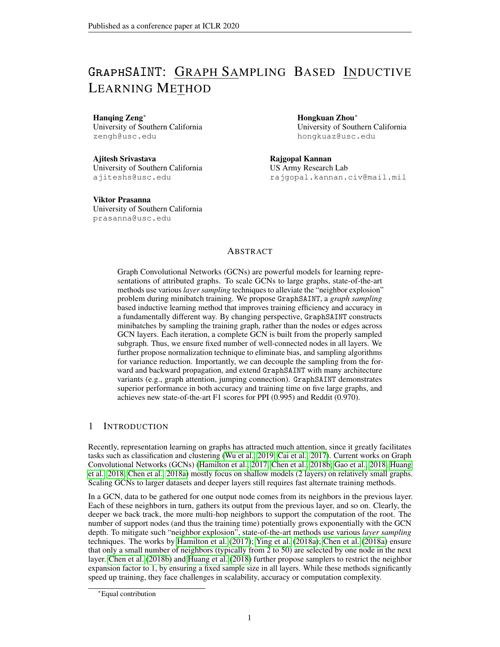| <b>Baseline</b>                                        | URL                                                                                                                                                                  | Commit                                         |
|--------------------------------------------------------|----------------------------------------------------------------------------------------------------------------------------------------------------------------------|------------------------------------------------|
| Vanilla GCN<br>GraphSAGE<br>FastGCN<br>S-GCN<br>AS-GCN | qithub.com/williamleif/GraphSAGE<br>qithub.com/williamleif/GraphSAGE<br>github.com/matenure/FastGCN<br>qithub.com/thu-ml/stochastic qcn<br>qithub.com/huanqwb/AS-GCN | a0fdef<br>a0fdef<br>b8efe6<br>da7b78<br>5436ec |
| ClusterGCN                                             | qithub.com/qooqle-research/qooqle-research/tree/master/cluster qcn                                                                                                   | 99021e                                         |

| Table 4: URLs and commit number to run baseline codes |  |
|-------------------------------------------------------|--|
|-------------------------------------------------------|--|

#### Table 5: Training configuration of GraphSAINT for Table 2

| Sampler    | Dataset    | Training      |         | Sampling    |             |       |                |
|------------|------------|---------------|---------|-------------|-------------|-------|----------------|
|            |            | Learning rate | Dropout | Node budget | Edge budget | Roots | Walk length    |
|            | PPI        | 0.01          | 0.0     | 6000        |             |       |                |
| Node       | Flickr     | 0.01          | 0.2     | 8000        |             |       |                |
|            | Reddit     | 0.01          | 0.1     | 8000        |             |       |                |
|            | Yelp       | 0.01          | 0.1     | 5000        |             |       |                |
|            | Amazon     | 0.01          | 0.1     | 4500        |             |       |                |
|            | <b>PPI</b> | 0.01          | 0.1     |             | 4000        |       |                |
| Edge       | Flickr     | 0.01          | 0.2     |             | 6000        |       |                |
|            | Reddit     | 0.01          | 0.1     |             | 6000        |       |                |
|            | Yelp       | 0.01          | 0.1     |             | 2500        |       |                |
|            | Amazon     | 0.01          | 0.1     |             | 2000        |       |                |
|            | <b>PPI</b> | 0.01          | 0.1     |             |             | 3000  | $\mathfrak{2}$ |
| <b>RW</b>  | Flickr     | 0.01          | 0.2     |             |             | 6000  | $\overline{2}$ |
|            | Reddit     | 0.01          | 0.1     |             |             | 2000  | 4              |
|            | Yelp       | 0.01          | 0.1     |             |             | 1250  | $\overline{2}$ |
|            | Amazon     | 0.01          | 0.1     |             |             | 1500  | $\overline{2}$ |
|            | <b>PPI</b> | 0.01          | 0.1     | 8000        |             | 2500  |                |
| <b>MRW</b> | Flickr     | 0.01          | 0.2     | 12000       |             | 3000  |                |
|            | Reddit     | 0.01          | 0.1     | 8000        |             | 1000  |                |
|            | Yelp       | 0.01          | 0.1     | 2500        |             | 1000  |                |
|            | Amazon     | 0.01          | 0.1     | 4500        |             | 1500  |                |

Dropout: f0.0, 0.1, 0.2, 0.3g

Learning rate:  $f(0.1, 0.01, 0.001, 0.0001q)$ 

The hidden dimensions used for Table 2, Figure 2, Figure 3 and Figure 4 are: 512 for PPI, 256 for Flickr, 128 for Reddit, 512 for Yelp and 512 for Amazon.

All methods terminate after a fixed number of epochs based on convergence. We save the model producing the highest validation set F1-micro score, and reload it to evaluate the test set accuracy.

For vanilla GCN and AS-GCN, we set the batch size to their default value 512. For GraphSAGE, we use the mean aggregator with the default batch size 512. For S-GCN, we set the flag  $-cv -cvd$ (which stand for "control variate" and "control variate dropout") with pre-computation of the first layer aggregation. According to the paper (Chen et al., 2018a), such pre-computation significantly reduces training time without affecting accuracy. For S-GCN, we use the default batch size 1000, and for FastGCN, we use the default value 400. For ClusterGCN, its batch size is determined by two parameters: the cluster size and the number of clusters per batch. We sweep the cluster size from 500 to 10000 with step 500, and the number of clusters per batch from  $\mathcal{F}1, 10, 20, 40\mathcal{q}$  to determine the optimal configuration for each dataset / architecture. Considering that for ClusterGCN, the cluster structure may be sensitive to the cluster size, and for FastGCN, the minibatch connectivity may increase with the sample size, we present additional experimental results to reveal the relation between accuracy and batch size in Appendix D.3.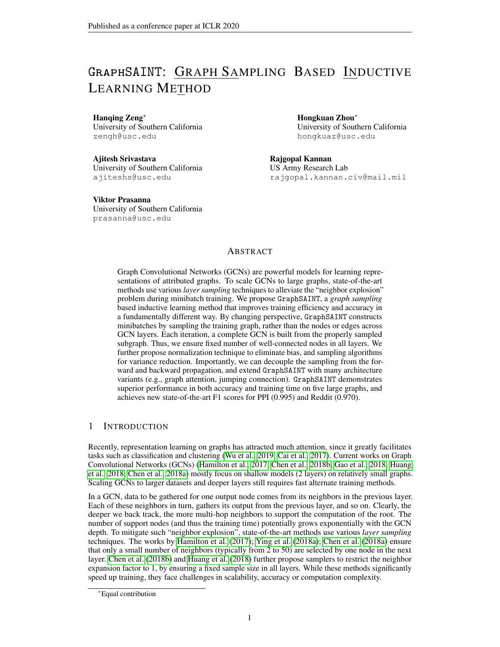|    | Arch. | Sampler    | Dataset     | Training      |         |             | Sampling    |       |             |
|----|-------|------------|-------------|---------------|---------|-------------|-------------|-------|-------------|
|    |       |            |             | Learning rate | Dropout | Node budget | Edge budget | Roots | Walk length |
| 2  | 512   | <b>MRW</b> | PPI (large) | 0.01          | 0.1     | 1500        |             | 300   |             |
| Ð. | 2048  | <b>RW</b>  | PPI (large) | 0.01          | 0.1     | _           |             | 3000  |             |
|    | 128   | Edge       | Reddit      | 0.01          | 0.1     |             | 6000        |       |             |
|    | 128   | Edge       | Reddit      | 0.01          | 0.2     |             | 11000       |       |             |

Table 6: Training configuration of GraphSAINT for Table 3

Table 7: Training configuration of GraphSAINT for Figure 4 (Reddit)

|                         | 2-layer GAT-SAINT       | 4-layer GAT-SAINT       | 2-layer JK-SAINT | 4-layer JK-SAINT |
|-------------------------|-------------------------|-------------------------|------------------|------------------|
| Hidden dimension        | 128                     | 128                     | 128              | 128              |
| Attention $K$           | 8                       |                         |                  |                  |
| Aggregation $\bigoplus$ |                         |                         | Concat.          | Concat.          |
|                         | <b>RW</b>               | <b>RW</b>               | Edge             | Edge             |
| Sampler                 | (root: 3000; length: 2) | (root: 2000; length: 4) | (budget: 6000)   | (budget: 11000)  |
| Learning rate           | 0.01                    | 0.01                    | 0.01             | 0.01             |
| Dropout                 | 0.2                     | 0.2                     | 0.1              | 0.2              |

Configuration of GraphSAINT to reproduce Table 2 results is shown in Table 5. Configuration of GraphSAINT to reproduce Table 3 results is shown in Table 6.

Below we describe the configuration for Figure 4.

The major difference between a normal GCN and a JK-net (Xu et al., 2018) is that JK-net has an additional final layer that aggregates all the output hidden features of graph convolutional layers 1 to L. Mathematically, the additional aggregation layer outputs the final embedding  $x_{JK}$  as follows:

$$
\boldsymbol{x}_{\text{JK}} = \sigma \left( \boldsymbol{W}_{\text{JK}}^{\mathsf{T}} \ \bigoplus_{\ell=1}^{L} \boldsymbol{x}_{v}^{(\ell)} \right) \tag{7}
$$

where based on Xu et al. (2018),  $\bigoplus$  is the vector aggregation operator: max-pooling, concatenation or LSTM (Hochreiter & Schmidhuber, 1997) based aggregation.

The graph attention of GAT (Veličković et al., 2017) calculates the edge weights for neighbor aggregation by an additional neural network. With multi-head  $(K)$  attention, the layer- $(\ell \ 1)$ features propagate to layer- $(\ell)$  as follows:

$$
\boldsymbol{x}_{v}^{(\ell)} = \left\| \sum_{k=1}^{K} \sigma \left( \sum_{u \in \text{neighbor}(v)} \alpha_{u,v}^{k} \boldsymbol{W}^{k} \boldsymbol{x}_{v}^{(\ell-1)} \right) \right\| \tag{8}
$$

where k is the vector concatenation operation, and the coefficient  $\alpha$  is calculated with the attention weights  $a^k$  by:

$$
\alpha_{u,v}^k = \text{LeakyReLU}\left(\left(\mathbf{a}^k\right)^{\mathsf{T}}\left[\mathbf{W}^k \mathbf{x}_u \mathbf{W}^k \mathbf{x}_v\right]\right) \tag{9}
$$

Note that the  $\alpha$  calculation is slightly different from the original equation in Veličković et al. (2017). Namely, GAT-SAINT does not normalize  $\alpha$  by softmax across all neighbors of v. We make such modification since under the minibatch setting, node  $v$  does not see all its neighbors in the training graph. The removal of softmax is also seen in the attention design of Huang et al. (2018). Note that during the minibatch training, GAT-SAINT further applies another edge coefficient on top of attention for aggregator normalization.

Table 7 shows the configuration of the GAT-SAINT and JK-SAINT curves in Figure 4.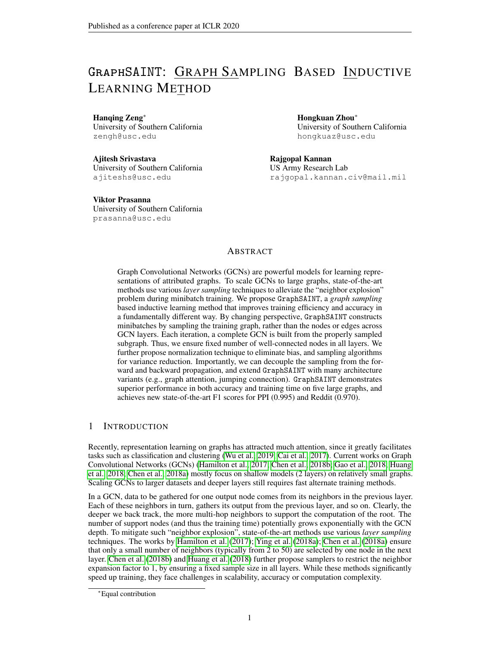

Figure 6: Comparison of training efficiency

Figure 7: Fraction of training time on sampling

## D ADDITIONAL EXPERIMENTS

#### D.1 TRAINING EFFICIENCY ON DEEP MODELS

We evaluate the training efficiency for deeper GCNs. We only compare with S-GCN, since implementations for other layer sampling based methods have not yet supported arbitrary model depth. The batch size and hidden dimension are the same as Table 2. On the two large graphs (Reddit and Yelp), we increase the number of layers and measure the average time per minibatch execution. In Figure 6, training cost of GraphSAINT is approximately linear with GCN depth. Training cost of S-GCN grows dramatically when increasing the depth. This reflects the "neighbor explosion" phenomenon (even though the expansion factor of S-GCN is just 2). On Yelp, S-GCN gives "out-of-memory" error for models beyond 5 layers.

## D.2 COST OF SAMPLING AND PRE-PROCESSING

Cost of graph samplers of **GraphSAINT** Graph sampling introduces little training overhead. Let  $t<sub>s</sub>$  be the average time to sample one subgraph on a multi-core machine. Let  $t<sub>t</sub>$  be the average time to perform the forward and backward propagation on one minibatch on GPU. Figure 7 shows the ratio  $t_s/t_t$  for various datasets. The parameters of the samplers are the same as Table 2. For Node, Edge and RW samplers, we observe that time to sample one subgraph is in most cases less than 25% of the training time. The MRW sampler is more expensive to execute. Regarding the complete pre-processing procedure, we repeatedly run the sampler for  $N = 50$   $\frac{V}{l}$ / $\frac{V}{s}$ / $\frac{l}{v}$  times before training, to estimate the node and edge probability as discussed in Section 3.2 (where  $iV_s$ ) is the average subgraph size). These sampled subgraphs are reused as training minibatches. Thus, if training runs for more than  $N$  iterations, the pre-processing is nearly zero-cost. Under the setting of Table 2, pre-processing on PPI and Yelp and Amazon does not incur any overhead in training time. Pre-processing on Flickr and Reddit (with RW sampler) takes less than 40% and 15% of their corresponding total training time.

Cost of layers sampler of AS-GCN AS-GCN uses an additional neural network to estimate the conditional sampling probability for the previous layer. For a node v already sampled in layer  $\ell$ , features of layer- $(\ell \ 1)$  corresponding to all v's neighbors need to be fed to the sampling neural network to obtain the node probability. For sake of analysis, assume the sampling network is a single layer MLP, whose weight  $W_{\text{MLP}}$  has the same shape as the GCN weights  $W^{(\ell)}.$  Then we can show, for a L-layer GCN on a degree-d graph, per epoch training complexity of AS-GCN is approximately  $\gamma = (d \ L) / \sum_{\ell=0}^{L-1} d^{\ell}$  times that of vanilla GCN. For  $L = 2$ , we have  $\gamma = 2$ . This explains the observation that AS-GCN is slower than vanilla GCN in Figure 2. Additional, Table 8 shows the training time breakdown for AS-GCN. Clearly, its sampler is much more expensive than the graph sampler of GraphSAINT.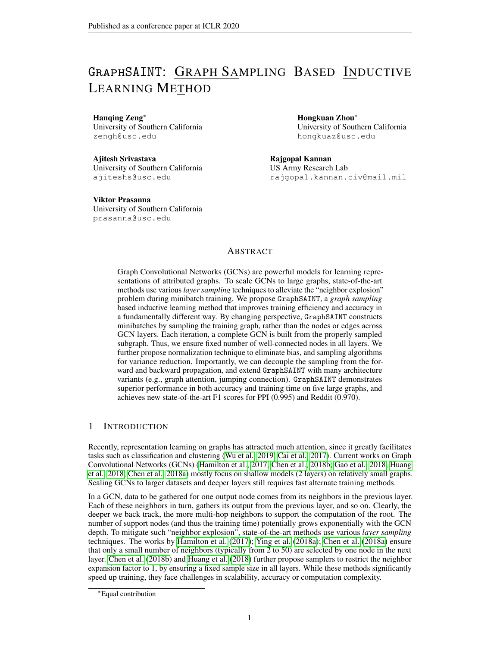| Dataset    | Sampling time (sec) | Forward / Backward<br>propagation time (sec) |
|------------|---------------------|----------------------------------------------|
| <b>PPI</b> | 1.1                 | 0.2                                          |
| Flickr     | 5.3                 | 1.1                                          |
| Reddit     | 20.7                | 3.5                                          |

Table 8: Per epoch training time breakdown for AS-GCN

Cost of clustering of ClusterGCN ClusterGCN uses the highly optimized METIS software<sup>††</sup> to perform clustering. Table 9 summarizes the time to obtain the clusters for the five graphs. On the large and dense Amazon graph, the cost of clustering increase dramatically. The pre-processing time of ClusterGCN on Amazon is more than 4 of the total training time. On the other hand, the sampling cost of GraphSAINT does not increase significantly for large graphs (see Figure 7).

Table 9: Clustering time of ClusterGCN

|                              |  |  | PPI Flickr Reddit Yelp Amazon |
|------------------------------|--|--|-------------------------------|
| Time (sec) $2.2$ 11.6 $40.0$ |  |  | 106.7 2254.2                  |

Taking into account the pre-processing time, sampling time and training time altogether, we summarize the total convergence time of GraphSAINT and ClusterGCN in Table 10 (corresponding to Table 2 configuration). On graphs that are large and dense (e.g., Amazon), GraphSAINT achieves significantly faster convergence. Note that both the sampling of GraphSAINT and clustering of ClusterGCN can be performed offline.

Table 10: Comparison of total convergence time (pre-processing + sampling + training, unit: second)

|                   | <b>PPI</b> | Flickr | Reddit | Yelp  | Amazon |
|-------------------|------------|--------|--------|-------|--------|
| GraphSAINT-Edge   | 91.0       | 7.0    | 16.6   | 273.9 | 401.0  |
| GraphSAINT-RW     | 103.6      | 7.5    | 172    | 310.1 | 425.6  |
| <b>ClusterGCN</b> | 163.2      | 12.9   | 553    | 256.0 | 2804.8 |

#### D.3 EFFECT OF BATCH SIZE

Table 11 shows the change of test set accuracy with batch sizes. For each row of Table 11, we fix the batch size, tune the other hyperparameters according to Appendix C.3, and report the highest test set accuracy achieved. For GraphSAGE, S-GCN and AS-GCN, their default batch sizes (512,1000 and 512, respectively) lead to the highest accuracy on all datasets. For FastGCN, increasing the default batch size (from 400 to 4000) leads to noticeable accuracy improvement. For ClusterGCN, different datasets correspond to different optimal batch sizes. Note that the accuracy in Section 5.1 is already tuned by identifying the optimal batch size on a per graph basis.

For FastGCN, intuitively, increasing batch size may help with accuracy improvement since the minibatches may become better connected. Such intuition is verified by the rows of 400 and 2000. However, increasing the batch size from 2000 to 4000 does not further improve accuracy significantly. For ClusterGCN, the optimal batch size depends on the cluster structure of the training graph. For PPI, small batches are better, while for Amazon, batch size does not have significant impact on accuracy. For GraphSAGE, overly large batches may have negative impact on accuracy due to neighbor explosion. Approximately, GraphSAGE expand 10 more neighbors per layer. For a 2-layer GCN, a size 2  $10^3$  minibatch would then require the support of 2  $10^5$  nodes from the

<sup>††</sup><http://glaros.dtc.umn.edu/gkhome/metis/metis/download>

<sup>∗</sup>Default batch size

<sup>¶</sup>The training does not converge.

<sup>‡</sup>The codes throw runtime error on the large datasets (Yelp or Amazon).